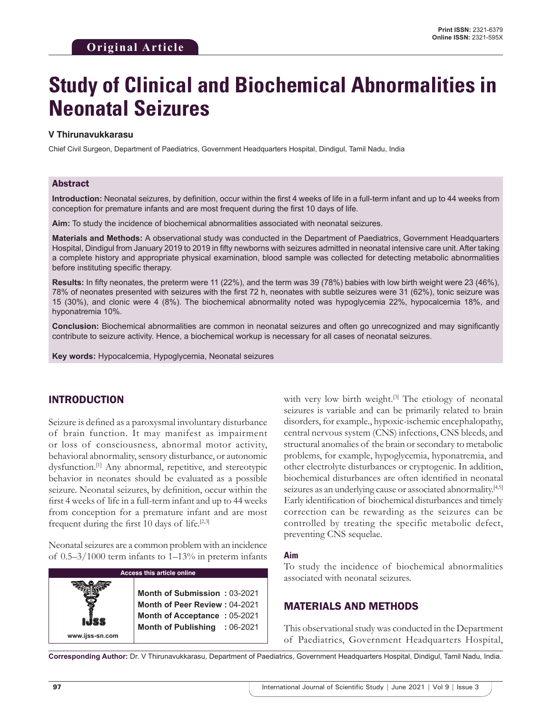# **Study of Clinical and Biochemical Abnormalities in Neonatal Seizures**

#### **V Thirunavukkarasu**

Chief Civil Surgeon, Department of Paediatrics, Government Headquarters Hospital, Dindigul, Tamil Nadu, India

#### Abstract

**Introduction:** Neonatal seizures, by definition, occur within the first 4 weeks of life in a full-term infant and up to 44 weeks from conception for premature infants and are most frequent during the first 10 days of life.

**Aim:** To study the incidence of biochemical abnormalities associated with neonatal seizures.

**Materials and Methods:** A observational study was conducted in the Department of Paediatrics, Government Headquarters Hospital, Dindigul from January 2019 to 2019 in fifty newborns with seizures admitted in neonatal intensive care unit. After taking a complete history and appropriate physical examination, blood sample was collected for detecting metabolic abnormalities before instituting specific therapy.

**Results:** In fifty neonates, the preterm were 11 (22%), and the term was 39 (78%) babies with low birth weight were 23 (46%), 78% of neonates presented with seizures with the first 72 h, neonates with subtle seizures were 31 (62%), tonic seizure was 15 (30%), and clonic were 4 (8%). The biochemical abnormality noted was hypoglycemia 22%, hypocalcemia 18%, and hyponatremia 10%.

**Conclusion:** Biochemical abnormalities are common in neonatal seizures and often go unrecognized and may significantly contribute to seizure activity. Hence, a biochemical workup is necessary for all cases of neonatal seizures.

**Key words:** Hypocalcemia, Hypoglycemia, Neonatal seizures

# INTRODUCTION

Seizure is defined as a paroxysmal involuntary disturbance of brain function. It may manifest as impairment or loss of consciousness, abnormal motor activity, behavioral abnormality, sensory disturbance, or autonomic dysfunction.<sup>[1]</sup> Any abnormal, repetitive, and stereotypic behavior in neonates should be evaluated as a possible seizure. Neonatal seizures, by definition, occur within the first 4 weeks of life in a full-term infant and up to 44 weeks from conception for a premature infant and are most frequent during the first 10 days of life.[2,3]

Neonatal seizures are a common problem with an incidence of 0.5–3/1000 term infants to 1–13% in preterm infants

| <b>Access this article online</b> |                                                                                                                                       |
|-----------------------------------|---------------------------------------------------------------------------------------------------------------------------------------|
| www.ijss-sn.com                   | Month of Submission: 03-2021<br><b>Month of Peer Review: 04-2021</b><br>Month of Acceptance: 05-2021<br>Month of Publishing : 06-2021 |

with very low birth weight.<sup>[3]</sup> The etiology of neonatal seizures is variable and can be primarily related to brain disorders, for example., hypoxic-ischemic encephalopathy, central nervous system (CNS) infections, CNS bleeds, and structural anomalies of the brain or secondary to metabolic problems, for example, hypoglycemia, hyponatremia, and other electrolyte disturbances or cryptogenic. In addition, biochemical disturbances are often identified in neonatal seizures as an underlying cause or associated abnormality.<sup>[4,5]</sup> Early identification of biochemical disturbances and timely correction can be rewarding as the seizures can be controlled by treating the specific metabolic defect, preventing CNS sequelae.

#### **Aim**

To study the incidence of biochemical abnormalities associated with neonatal seizures.

# MATERIALS AND METHODS

This observational study was conducted in the Department of Paediatrics, Government Headquarters Hospital,

**Corresponding Author:** Dr. V Thirunavukkarasu, Department of Paediatrics, Government Headquarters Hospital, Dindigul, Tamil Nadu, India.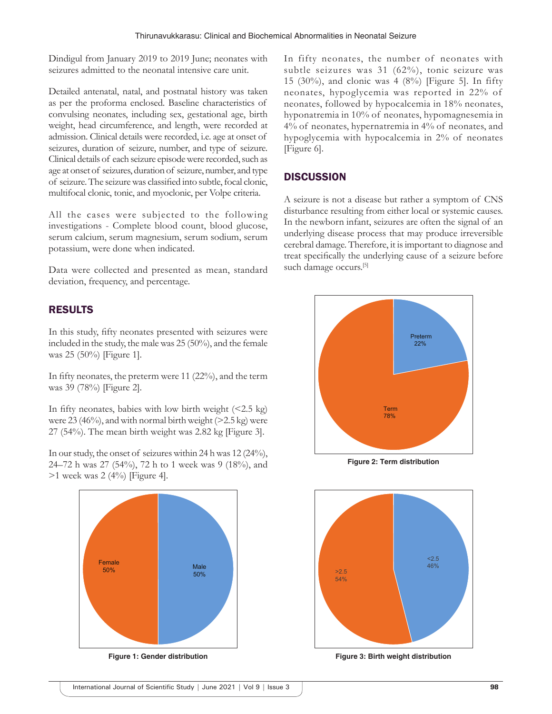Dindigul from January 2019 to 2019 June; neonates with seizures admitted to the neonatal intensive care unit.

Detailed antenatal, natal, and postnatal history was taken as per the proforma enclosed. Baseline characteristics of convulsing neonates, including sex, gestational age, birth weight, head circumference, and length, were recorded at admission. Clinical details were recorded, i.e. age at onset of seizures, duration of seizure, number, and type of seizure. Clinical details of each seizure episode were recorded, such as age at onset of seizures, duration of seizure, number, and type of seizure. The seizure was classified into subtle, focal clonic, multifocal clonic, tonic, and myoclonic, per Volpe criteria.

All the cases were subjected to the following investigations - Complete blood count, blood glucose, serum calcium, serum magnesium, serum sodium, serum potassium, were done when indicated.

Data were collected and presented as mean, standard deviation, frequency, and percentage.

# RESULTS

In this study, fifty neonates presented with seizures were included in the study, the male was 25 (50%), and the female was 25 (50%) [Figure 1].

In fifty neonates, the preterm were 11 (22%), and the term was 39 (78%) [Figure 2].

In fifty neonates, babies with low birth weight  $(<2.5 \text{ kg})$ were  $23(46\%)$ , and with normal birth weight ( $>2.5$  kg) were 27 (54%). The mean birth weight was 2.82 kg [Figure 3].

In our study, the onset of seizures within 24 h was 12 (24%), 24–72 h was 27 (54%), 72 h to 1 week was 9 (18%), and  $>1$  week was 2 (4%) [Figure 4].



**Figure 1: Gender distribution**

In fifty neonates, the number of neonates with subtle seizures was 31 (62%), tonic seizure was 15 (30%), and clonic was 4 (8%) [Figure 5]. In fifty neonates, hypoglycemia was reported in 22% of neonates, followed by hypocalcemia in 18% neonates, hyponatremia in 10% of neonates, hypomagnesemia in 4% of neonates, hypernatremia in 4% of neonates, and hypoglycemia with hypocalcemia in 2% of neonates [Figure 6].

#### **DISCUSSION**

A seizure is not a disease but rather a symptom of CNS disturbance resulting from either local or systemic causes. In the newborn infant, seizures are often the signal of an underlying disease process that may produce irreversible cerebral damage. Therefore, it is important to diagnose and treat specifically the underlying cause of a seizure before such damage occurs.<sup>[5]</sup>



**Figure 2: Term distribution**



**Figure 3: Birth weight distribution**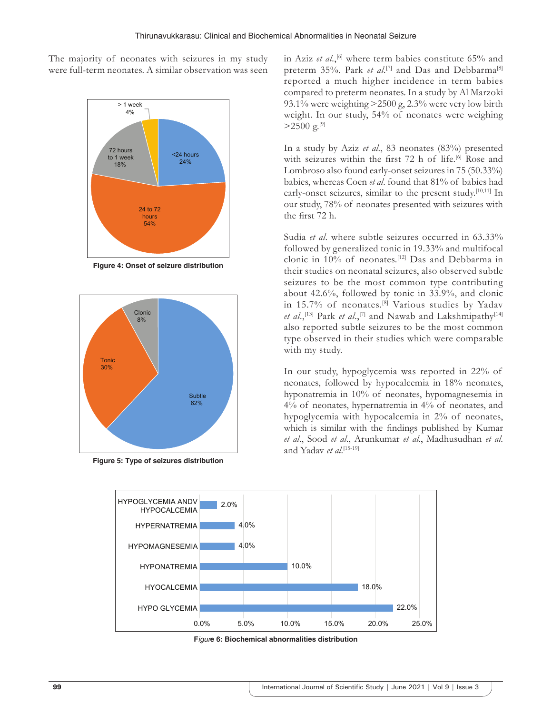The majority of neonates with seizures in my study were full-term neonates. A similar observation was seen



**Figure 4: Onset of seizure distribution**



**Figure 5: Type of seizures distribution**

in Aziz *et al.*,<sup>[6]</sup> where term babies constitute 65% and preterm 35%. Park *et al*.<sup>[7]</sup> and Das and Debbarma<sup>[8]</sup> reported a much higher incidence in term babies compared to preterm neonates. In a study by Al Marzoki 93.1% were weighting >2500 g, 2.3% were very low birth weight. In our study, 54% of neonates were weighing  $>2500 \text{ g.}^{[9]}$ 

In a study by Aziz *et al*., 83 neonates (83%) presented with seizures within the first 72 h of life.<sup>[6]</sup> Rose and Lombroso also found early-onset seizures in 75 (50.33%) babies, whereas Coen *et al*. found that 81% of babies had early-onset seizures, similar to the present study.<sup>[10,11]</sup> In our study, 78% of neonates presented with seizures with the first 72 h.

Sudia *et al*. where subtle seizures occurred in 63.33% followed by generalized tonic in 19.33% and multifocal clonic in 10% of neonates.[12] Das and Debbarma in their studies on neonatal seizures, also observed subtle seizures to be the most common type contributing about 42.6%, followed by tonic in 33.9%, and clonic in 15.7% of neonates.<sup>[8]</sup> Various studies by Yadav *et al.*,<sup>[13]</sup> Park *et al.*,<sup>[7]</sup> and Nawab and Lakshmipathy<sup>[14]</sup> also reported subtle seizures to be the most common type observed in their studies which were comparable with my study.

In our study, hypoglycemia was reported in 22% of neonates, followed by hypocalcemia in 18% neonates, hyponatremia in 10% of neonates, hypomagnesemia in 4% of neonates, hypernatremia in 4% of neonates, and hypoglycemia with hypocalcemia in 2% of neonates, which is similar with the findings published by Kumar *et al*., Sood *et al*., Arunkumar *et al*., Madhusudhan *et al*. and Yadav *et al*. [15-19]



**F***igur***e 6: Biochemical abnormalities distribution**